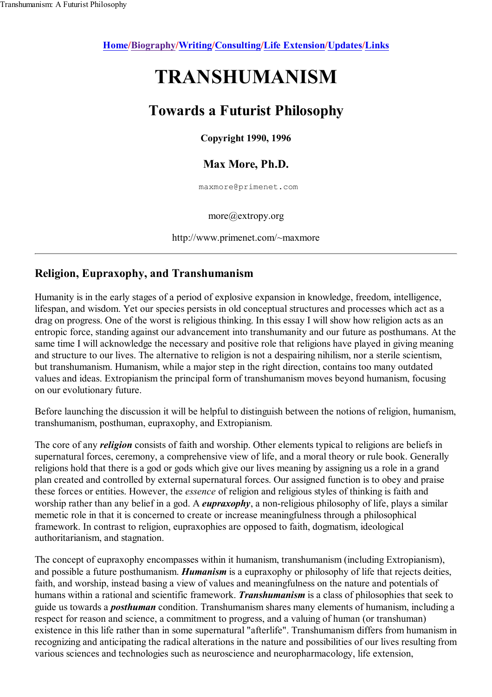Home/Biography/Writing/Consulting/Life Extension/Updates/Links

# **TRANSHUMANISM**

## Towards a Futurist Philosophy

Copyright 1990, 1996

#### Max More, Ph.D.

maxmore@primenet.com

more@extropy.org

http://www.primenet.com/~maxmore

#### Religion, Eupraxophy, and Transhumanism

Humanity is in the early stages of a period of explosive expansion in knowledge, freedom, intelligence, lifespan, and wisdom. Yet our species persists in old conceptual structures and processes which act as a drag on progress. One of the worst is religious thinking. In this essay I will show how religion acts as an entropic force, standing against our advancement into transhumanity and our future as posthumans. At the same time I will acknowledge the necessary and positive role that religions have played in giving meaning and structure to our lives. The alternative to religion is not a despairing nihilism, nor a sterile scientism, but transhumanism. Humanism, while a major step in the right direction, contains too many outdated values and ideas. Extropianism the principal form of transhumanism moves beyond humanism, focusing on our evolutionary future.

Before launching the discussion it will be helpful to distinguish between the notions of religion, humanism, transhumanism, posthuman, eupraxophy, and Extropianism.

The core of any *religion* consists of faith and worship. Other elements typical to religions are beliefs in supernatural forces, ceremony, a comprehensive view of life, and a moral theory or rule book. Generally religions hold that there is a god or gods which give our lives meaning by assigning us a role in a grand plan created and controlled by external supernatural forces. Our assigned function is to obey and praise these forces or entities. However, the essence of religion and religious styles of thinking is faith and worship rather than any belief in a god. A *eupraxophy*, a non-religious philosophy of life, plays a similar memetic role in that it is concerned to create or increase meaningfulness through a philosophical framework. In contrast to religion, eupraxophies are opposed to faith, dogmatism, ideological authoritarianism, and stagnation.

The concept of eupraxophy encompasses within it humanism, transhumanism (including Extropianism), and possible a future posthumanism. **Humanism** is a eupraxophy or philosophy of life that rejects deities, faith, and worship, instead basing a view of values and meaningfulness on the nature and potentials of humans within a rational and scientific framework. **Transhumanism** is a class of philosophies that seek to guide us towards a posthuman condition. Transhumanism shares many elements of humanism, including a respect for reason and science, a commitment to progress, and a valuing of human (or transhuman) existence in this life rather than in some supernatural "afterlife". Transhumanism differs from humanism in recognizing and anticipating the radical alterations in the nature and possibilities of our lives resulting from various sciences and technologies such as neuroscience and neuropharmacology, life extension,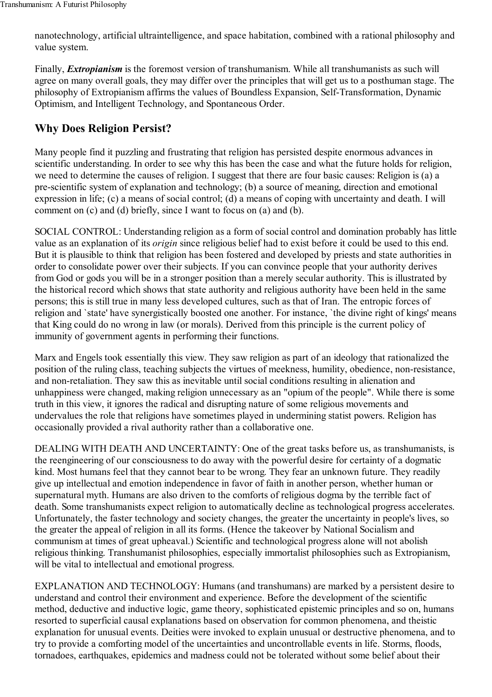nanotechnology, artificial ultraintelligence, and space habitation, combined with a rational philosophy and value system.

Finally, *Extropianism* is the foremost version of transhumanism. While all transhumanists as such will agree on many overall goals, they may differ over the principles that will get us to a posthuman stage. The philosophy of Extropianism affirms the values of Boundless Expansion, Self-Transformation, Dynamic Optimism, and Intelligent Technology, and Spontaneous Order.

#### Why Does Religion Persist?

Many people find it puzzling and frustrating that religion has persisted despite enormous advances in scientific understanding. In order to see why this has been the case and what the future holds for religion, we need to determine the causes of religion. I suggest that there are four basic causes: Religion is (a) a pre-scientific system of explanation and technology; (b) a source of meaning, direction and emotional expression in life; (c) a means of social control; (d) a means of coping with uncertainty and death. I will comment on (c) and (d) briefly, since I want to focus on (a) and (b).

SOCIAL CONTROL: Understanding religion as a form of social control and domination probably has little value as an explanation of its origin since religious belief had to exist before it could be used to this end. But it is plausible to think that religion has been fostered and developed by priests and state authorities in order to consolidate power over their subjects. If you can convince people that your authority derives from God or gods you will be in a stronger position than a merely secular authority. This is illustrated by the historical record which shows that state authority and religious authority have been held in the same persons; this is still true in many less developed cultures, such as that of Iran. The entropic forces of religion and `state' have synergistically boosted one another. For instance, `the divine right of kings' means that King could do no wrong in law (or morals). Derived from this principle is the current policy of immunity of government agents in performing their functions.

Marx and Engels took essentially this view. They saw religion as part of an ideology that rationalized the position of the ruling class, teaching subjects the virtues of meekness, humility, obedience, non-resistance, and non-retaliation. They saw this as inevitable until social conditions resulting in alienation and unhappiness were changed, making religion unnecessary as an "opium of the people". While there is some truth in this view, it ignores the radical and disrupting nature of some religious movements and undervalues the role that religions have sometimes played in undermining statist powers. Religion has occasionally provided a rival authority rather than a collaborative one.

DEALING WITH DEATH AND UNCERTAINTY: One of the great tasks before us, as transhumanists, is the reengineering of our consciousness to do away with the powerful desire for certainty of a dogmatic kind. Most humans feel that they cannot bear to be wrong. They fear an unknown future. They readily give up intellectual and emotion independence in favor of faith in another person, whether human or supernatural myth. Humans are also driven to the comforts of religious dogma by the terrible fact of death. Some transhumanists expect religion to automatically decline as technological progress accelerates. Unfortunately, the faster technology and society changes, the greater the uncertainty in people's lives, so the greater the appeal of religion in all its forms. (Hence the takeover by National Socialism and communism at times of great upheaval.) Scientific and technological progress alone will not abolish religious thinking. Transhumanist philosophies, especially immortalist philosophies such as Extropianism, will be vital to intellectual and emotional progress.

EXPLANATION AND TECHNOLOGY: Humans (and transhumans) are marked by a persistent desire to understand and control their environment and experience. Before the development of the scientific method, deductive and inductive logic, game theory, sophisticated epistemic principles and so on, humans resorted to superficial causal explanations based on observation for common phenomena, and theistic explanation for unusual events. Deities were invoked to explain unusual or destructive phenomena, and to try to provide a comforting model of the uncertainties and uncontrollable events in life. Storms, floods, tornadoes, earthquakes, epidemics and madness could not be tolerated without some belief about their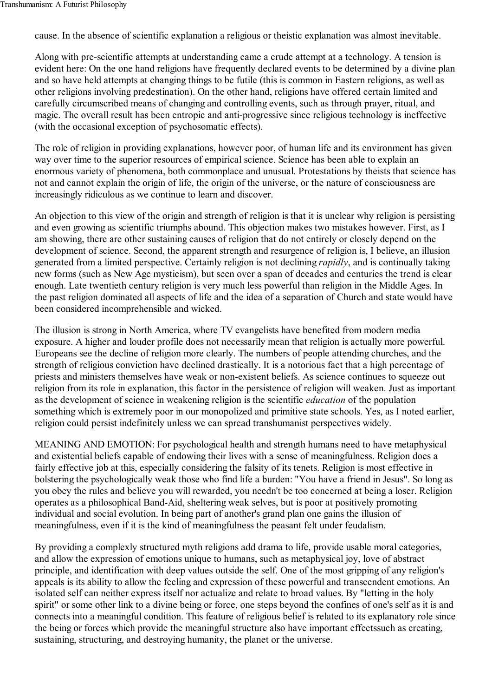cause. In the absence of scientific explanation a religious or theistic explanation was almost inevitable.

Along with pre-scientific attempts at understanding came a crude attempt at a technology. A tension is evident here: On the one hand religions have frequently declared events to be determined by a divine plan and so have held attempts at changing things to be futile (this is common in Eastern religions, as well as other religions involving predestination). On the other hand, religions have offered certain limited and carefully circumscribed means of changing and controlling events, such as through prayer, ritual, and magic. The overall result has been entropic and anti-progressive since religious technology is ineffective (with the occasional exception of psychosomatic effects).

The role of religion in providing explanations, however poor, of human life and its environment has given way over time to the superior resources of empirical science. Science has been able to explain an enormous variety of phenomena, both commonplace and unusual. Protestations by theists that science has not and cannot explain the origin of life, the origin of the universe, or the nature of consciousness are increasingly ridiculous as we continue to learn and discover.

An objection to this view of the origin and strength of religion is that it is unclear why religion is persisting and even growing as scientific triumphs abound. This objection makes two mistakes however. First, as I am showing, there are other sustaining causes of religion that do not entirely or closely depend on the development of science. Second, the apparent strength and resurgence of religion is, I believe, an illusion generated from a limited perspective. Certainly religion is not declining rapidly, and is continually taking new forms (such as New Age mysticism), but seen over a span of decades and centuries the trend is clear enough. Late twentieth century religion is very much less powerful than religion in the Middle Ages. In the past religion dominated all aspects of life and the idea of a separation of Church and state would have been considered incomprehensible and wicked.

The illusion is strong in North America, where TV evangelists have benefited from modern media exposure. A higher and louder profile does not necessarily mean that religion is actually more powerful. Europeans see the decline of religion more clearly. The numbers of people attending churches, and the strength of religious conviction have declined drastically. It is a notorious fact that a high percentage of priests and ministers themselves have weak or non-existent beliefs. As science continues to squeeze out religion from its role in explanation, this factor in the persistence of religion will weaken. Just as important as the development of science in weakening religion is the scientific education of the population something which is extremely poor in our monopolized and primitive state schools. Yes, as I noted earlier, religion could persist indefinitely unless we can spread transhumanist perspectives widely.

MEANING AND EMOTION: For psychological health and strength humans need to have metaphysical and existential beliefs capable of endowing their lives with a sense of meaningfulness. Religion does a fairly effective job at this, especially considering the falsity of its tenets. Religion is most effective in bolstering the psychologically weak those who find life a burden: "You have a friend in Jesus". So long as you obey the rules and believe you will rewarded, you needn't be too concerned at being a loser. Religion operates as a philosophical Band-Aid, sheltering weak selves, but is poor at positively promoting individual and social evolution. In being part of another's grand plan one gains the illusion of meaningfulness, even if it is the kind of meaningfulness the peasant felt under feudalism.

By providing a complexly structured myth religions add drama to life, provide usable moral categories, and allow the expression of emotions unique to humans, such as metaphysical joy, love of abstract principle, and identification with deep values outside the self. One of the most gripping of any religion's appeals is its ability to allow the feeling and expression of these powerful and transcendent emotions. An isolated self can neither express itself nor actualize and relate to broad values. By "letting in the holy spirit" or some other link to a divine being or force, one steps beyond the confines of one's self as it is and connects into a meaningful condition. This feature of religious belief is related to its explanatory role since the being or forces which provide the meaningful structure also have important effectssuch as creating, sustaining, structuring, and destroying humanity, the planet or the universe.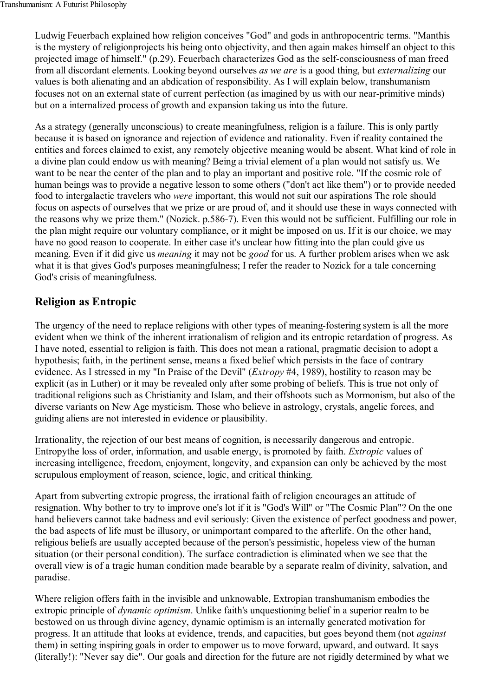Ludwig Feuerbach explained how religion conceives "God" and gods in anthropocentric terms. "Manthis is the mystery of religionprojects his being onto objectivity, and then again makes himself an object to this projected image of himself." (p.29). Feuerbach characterizes God as the self-consciousness of man freed from all discordant elements. Looking beyond ourselves as we are is a good thing, but externalizing our values is both alienating and an abdication of responsibility. As I will explain below, transhumanism focuses not on an external state of current perfection (as imagined by us with our near-primitive minds) but on a internalized process of growth and expansion taking us into the future.

As a strategy (generally unconscious) to create meaningfulness, religion is a failure. This is only partly because it is based on ignorance and rejection of evidence and rationality. Even if reality contained the entities and forces claimed to exist, any remotely objective meaning would be absent. What kind of role in a divine plan could endow us with meaning? Being a trivial element of a plan would not satisfy us. We want to be near the center of the plan and to play an important and positive role. "If the cosmic role of human beings was to provide a negative lesson to some others ("don't act like them") or to provide needed food to intergalactic travelers who were important, this would not suit our aspirations The role should focus on aspects of ourselves that we prize or are proud of, and it should use these in ways connected with the reasons why we prize them." (Nozick. p.586-7). Even this would not be sufficient. Fulfilling our role in the plan might require our voluntary compliance, or it might be imposed on us. If it is our choice, we may have no good reason to cooperate. In either case it's unclear how fitting into the plan could give us meaning. Even if it did give us *meaning* it may not be *good* for us. A further problem arises when we ask what it is that gives God's purposes meaningfulness; I refer the reader to Nozick for a tale concerning God's crisis of meaningfulness.

### Religion as Entropic

The urgency of the need to replace religions with other types of meaning-fostering system is all the more evident when we think of the inherent irrationalism of religion and its entropic retardation of progress. As I have noted, essential to religion is faith. This does not mean a rational, pragmatic decision to adopt a hypothesis; faith, in the pertinent sense, means a fixed belief which persists in the face of contrary evidence. As I stressed in my "In Praise of the Devil" (Extropy #4, 1989), hostility to reason may be explicit (as in Luther) or it may be revealed only after some probing of beliefs. This is true not only of traditional religions such as Christianity and Islam, and their offshoots such as Mormonism, but also of the diverse variants on New Age mysticism. Those who believe in astrology, crystals, angelic forces, and guiding aliens are not interested in evidence or plausibility.

Irrationality, the rejection of our best means of cognition, is necessarily dangerous and entropic. Entropythe loss of order, information, and usable energy, is promoted by faith. Extropic values of increasing intelligence, freedom, enjoyment, longevity, and expansion can only be achieved by the most scrupulous employment of reason, science, logic, and critical thinking.

Apart from subverting extropic progress, the irrational faith of religion encourages an attitude of resignation. Why bother to try to improve one's lot if it is "God's Will" or "The Cosmic Plan"? On the one hand believers cannot take badness and evil seriously: Given the existence of perfect goodness and power, the bad aspects of life must be illusory, or unimportant compared to the afterlife. On the other hand, religious beliefs are usually accepted because of the person's pessimistic, hopeless view of the human situation (or their personal condition). The surface contradiction is eliminated when we see that the overall view is of a tragic human condition made bearable by a separate realm of divinity, salvation, and paradise.

Where religion offers faith in the invisible and unknowable, Extropian transhumanism embodies the extropic principle of dynamic optimism. Unlike faith's unquestioning belief in a superior realm to be bestowed on us through divine agency, dynamic optimism is an internally generated motivation for progress. It an attitude that looks at evidence, trends, and capacities, but goes beyond them (not against them) in setting inspiring goals in order to empower us to move forward, upward, and outward. It says (literally!): "Never say die". Our goals and direction for the future are not rigidly determined by what we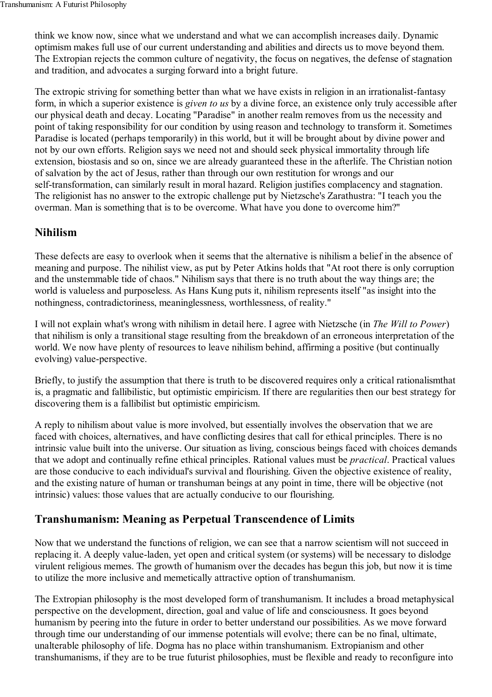think we know now, since what we understand and what we can accomplish increases daily. Dynamic optimism makes full use of our current understanding and abilities and directs us to move beyond them. The Extropian rejects the common culture of negativity, the focus on negatives, the defense of stagnation and tradition, and advocates a surging forward into a bright future.

The extropic striving for something better than what we have exists in religion in an irrationalist-fantasy form, in which a superior existence is given to us by a divine force, an existence only truly accessible after our physical death and decay. Locating "Paradise" in another realm removes from us the necessity and point of taking responsibility for our condition by using reason and technology to transform it. Sometimes Paradise is located (perhaps temporarily) in this world, but it will be brought about by divine power and not by our own efforts. Religion says we need not and should seek physical immortality through life extension, biostasis and so on, since we are already guaranteed these in the afterlife. The Christian notion of salvation by the act of Jesus, rather than through our own restitution for wrongs and our self-transformation, can similarly result in moral hazard. Religion justifies complacency and stagnation. The religionist has no answer to the extropic challenge put by Nietzsche's Zarathustra: "I teach you the overman. Man is something that is to be overcome. What have you done to overcome him?"

#### **Nihilism**

These defects are easy to overlook when it seems that the alternative is nihilism a belief in the absence of meaning and purpose. The nihilist view, as put by Peter Atkins holds that "At root there is only corruption and the unstemmable tide of chaos." Nihilism says that there is no truth about the way things are; the world is valueless and purposeless. As Hans Kung puts it, nihilism represents itself "as insight into the nothingness, contradictoriness, meaninglessness, worthlessness, of reality."

I will not explain what's wrong with nihilism in detail here. I agree with Nietzsche (in The Will to Power) that nihilism is only a transitional stage resulting from the breakdown of an erroneous interpretation of the world. We now have plenty of resources to leave nihilism behind, affirming a positive (but continually evolving) value-perspective.

Briefly, to justify the assumption that there is truth to be discovered requires only a critical rationalismthat is, a pragmatic and fallibilistic, but optimistic empiricism. If there are regularities then our best strategy for discovering them is a fallibilist but optimistic empiricism.

A reply to nihilism about value is more involved, but essentially involves the observation that we are faced with choices, alternatives, and have conflicting desires that call for ethical principles. There is no intrinsic value built into the universe. Our situation as living, conscious beings faced with choices demands that we adopt and continually refine ethical principles. Rational values must be practical. Practical values are those conducive to each individual's survival and flourishing. Given the objective existence of reality, and the existing nature of human or transhuman beings at any point in time, there will be objective (not intrinsic) values: those values that are actually conducive to our flourishing.

### Transhumanism: Meaning as Perpetual Transcendence of Limits

Now that we understand the functions of religion, we can see that a narrow scientism will not succeed in replacing it. A deeply value-laden, yet open and critical system (or systems) will be necessary to dislodge virulent religious memes. The growth of humanism over the decades has begun this job, but now it is time to utilize the more inclusive and memetically attractive option of transhumanism.

The Extropian philosophy is the most developed form of transhumanism. It includes a broad metaphysical perspective on the development, direction, goal and value of life and consciousness. It goes beyond humanism by peering into the future in order to better understand our possibilities. As we move forward through time our understanding of our immense potentials will evolve; there can be no final, ultimate, unalterable philosophy of life. Dogma has no place within transhumanism. Extropianism and other transhumanisms, if they are to be true futurist philosophies, must be flexible and ready to reconfigure into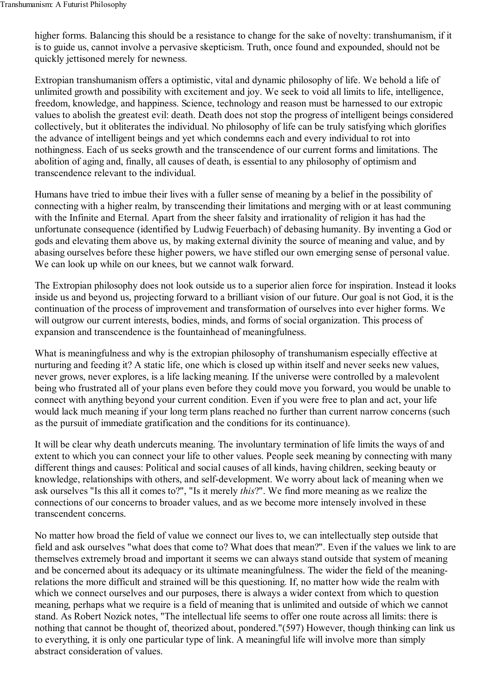higher forms. Balancing this should be a resistance to change for the sake of novelty: transhumanism, if it is to guide us, cannot involve a pervasive skepticism. Truth, once found and expounded, should not be quickly jettisoned merely for newness.

Extropian transhumanism offers a optimistic, vital and dynamic philosophy of life. We behold a life of unlimited growth and possibility with excitement and joy. We seek to void all limits to life, intelligence, freedom, knowledge, and happiness. Science, technology and reason must be harnessed to our extropic values to abolish the greatest evil: death. Death does not stop the progress of intelligent beings considered collectively, but it obliterates the individual. No philosophy of life can be truly satisfying which glorifies the advance of intelligent beings and yet which condemns each and every individual to rot into nothingness. Each of us seeks growth and the transcendence of our current forms and limitations. The abolition of aging and, finally, all causes of death, is essential to any philosophy of optimism and transcendence relevant to the individual.

Humans have tried to imbue their lives with a fuller sense of meaning by a belief in the possibility of connecting with a higher realm, by transcending their limitations and merging with or at least communing with the Infinite and Eternal. Apart from the sheer falsity and irrationality of religion it has had the unfortunate consequence (identified by Ludwig Feuerbach) of debasing humanity. By inventing a God or gods and elevating them above us, by making external divinity the source of meaning and value, and by abasing ourselves before these higher powers, we have stifled our own emerging sense of personal value. We can look up while on our knees, but we cannot walk forward.

The Extropian philosophy does not look outside us to a superior alien force for inspiration. Instead it looks inside us and beyond us, projecting forward to a brilliant vision of our future. Our goal is not God, it is the continuation of the process of improvement and transformation of ourselves into ever higher forms. We will outgrow our current interests, bodies, minds, and forms of social organization. This process of expansion and transcendence is the fountainhead of meaningfulness.

What is meaningfulness and why is the extropian philosophy of transhumanism especially effective at nurturing and feeding it? A static life, one which is closed up within itself and never seeks new values, never grows, never explores, is a life lacking meaning. If the universe were controlled by a malevolent being who frustrated all of your plans even before they could move you forward, you would be unable to connect with anything beyond your current condition. Even if you were free to plan and act, your life would lack much meaning if your long term plans reached no further than current narrow concerns (such as the pursuit of immediate gratification and the conditions for its continuance).

It will be clear why death undercuts meaning. The involuntary termination of life limits the ways of and extent to which you can connect your life to other values. People seek meaning by connecting with many different things and causes: Political and social causes of all kinds, having children, seeking beauty or knowledge, relationships with others, and self-development. We worry about lack of meaning when we ask ourselves "Is this all it comes to?", "Is it merely this?". We find more meaning as we realize the connections of our concerns to broader values, and as we become more intensely involved in these transcendent concerns.

No matter how broad the field of value we connect our lives to, we can intellectually step outside that field and ask ourselves "what does that come to? What does that mean?". Even if the values we link to are themselves extremely broad and important it seems we can always stand outside that system of meaning and be concerned about its adequacy or its ultimate meaningfulness. The wider the field of the meaningrelations the more difficult and strained will be this questioning. If, no matter how wide the realm with which we connect ourselves and our purposes, there is always a wider context from which to question meaning, perhaps what we require is a field of meaning that is unlimited and outside of which we cannot stand. As Robert Nozick notes, "The intellectual life seems to offer one route across all limits: there is nothing that cannot be thought of, theorized about, pondered."(597) However, though thinking can link us to everything, it is only one particular type of link. A meaningful life will involve more than simply abstract consideration of values.